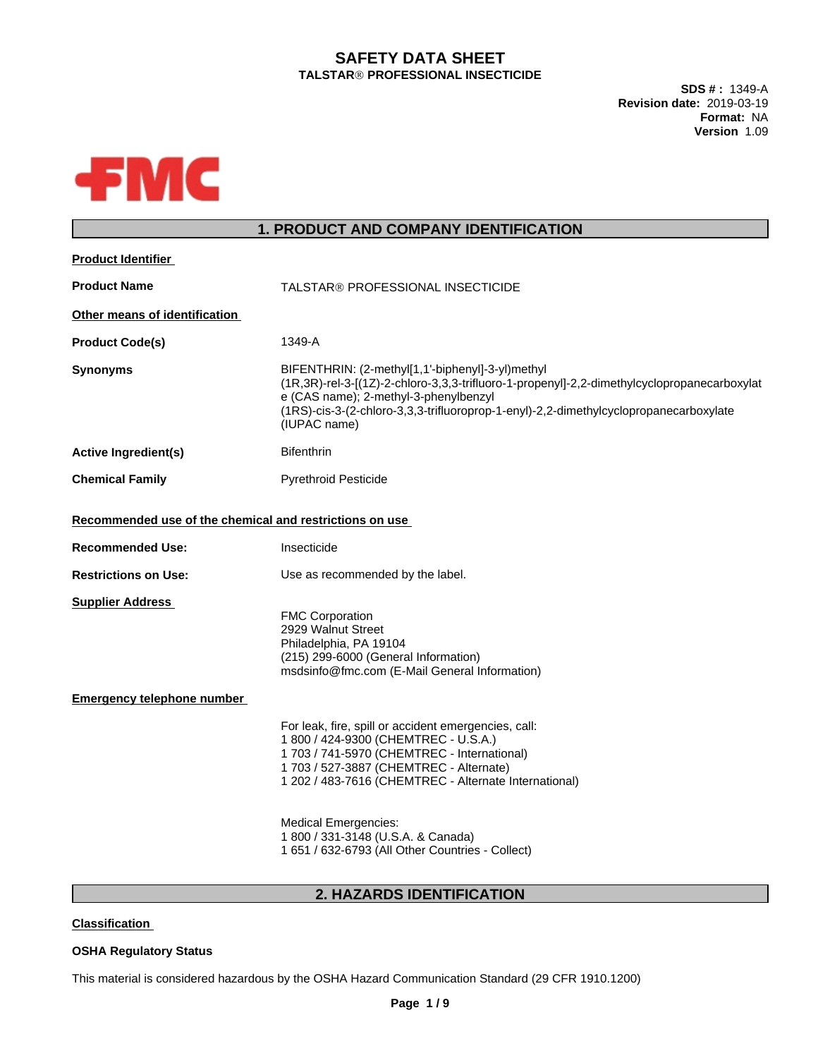# **SAFETY DATA SHEET TALSTARÒPROFESSIONAL INSECTICIDE**

**SDS # :** 1349-A **Revision date:** 2019-03-19 **Format:** NA **Version** 1.09



# **1. PRODUCT AND COMPANY IDENTIFICATION**

| <b>Product Identifier</b>                                |                                                                                                                                                                                                                                                                                                   |  |  |
|----------------------------------------------------------|---------------------------------------------------------------------------------------------------------------------------------------------------------------------------------------------------------------------------------------------------------------------------------------------------|--|--|
| <b>Product Name</b><br>TALSTAR® PROFESSIONAL INSECTICIDE |                                                                                                                                                                                                                                                                                                   |  |  |
| Other means of identification                            |                                                                                                                                                                                                                                                                                                   |  |  |
| <b>Product Code(s)</b>                                   | 1349-A                                                                                                                                                                                                                                                                                            |  |  |
| <b>Synonyms</b>                                          | BIFENTHRIN: (2-methyl[1,1'-biphenyl]-3-yl)methyl<br>(1R,3R)-rel-3-[(1Z)-2-chloro-3,3,3-trifluoro-1-propenyl]-2,2-dimethylcyclopropanecarboxylat<br>e (CAS name); 2-methyl-3-phenylbenzyl<br>(1RS)-cis-3-(2-chloro-3,3,3-trifluoroprop-1-enyl)-2,2-dimethylcyclopropanecarboxylate<br>(IUPAC name) |  |  |
| <b>Active Ingredient(s)</b>                              | <b>Bifenthrin</b>                                                                                                                                                                                                                                                                                 |  |  |
| <b>Chemical Family</b>                                   | <b>Pyrethroid Pesticide</b>                                                                                                                                                                                                                                                                       |  |  |
| Recommended use of the chemical and restrictions on use  |                                                                                                                                                                                                                                                                                                   |  |  |
| <b>Recommended Use:</b>                                  | Insecticide                                                                                                                                                                                                                                                                                       |  |  |
| <b>Restrictions on Use:</b>                              | Use as recommended by the label.                                                                                                                                                                                                                                                                  |  |  |
| <b>Supplier Address</b>                                  | <b>FMC Corporation</b><br>2929 Walnut Street<br>Philadelphia, PA 19104<br>(215) 299-6000 (General Information)<br>msdsinfo@fmc.com (E-Mail General Information)                                                                                                                                   |  |  |
| <b>Emergency telephone number</b>                        |                                                                                                                                                                                                                                                                                                   |  |  |
|                                                          | For leak, fire, spill or accident emergencies, call:<br>1 800 / 424-9300 (CHEMTREC - U.S.A.)<br>1 703 / 741-5970 (CHEMTREC - International)<br>1 703 / 527-3887 (CHEMTREC - Alternate)<br>1 202 / 483-7616 (CHEMTREC - Alternate International)                                                   |  |  |
|                                                          | <b>Medical Emergencies:</b><br>1 800 / 331-3148 (U.S.A. & Canada)<br>1 651 / 632-6793 (All Other Countries - Collect)                                                                                                                                                                             |  |  |
|                                                          |                                                                                                                                                                                                                                                                                                   |  |  |

## **2. HAZARDS IDENTIFICATION**

**Classification**

### **OSHA Regulatory Status**

This material is considered hazardous by the OSHA Hazard Communication Standard (29 CFR 1910.1200)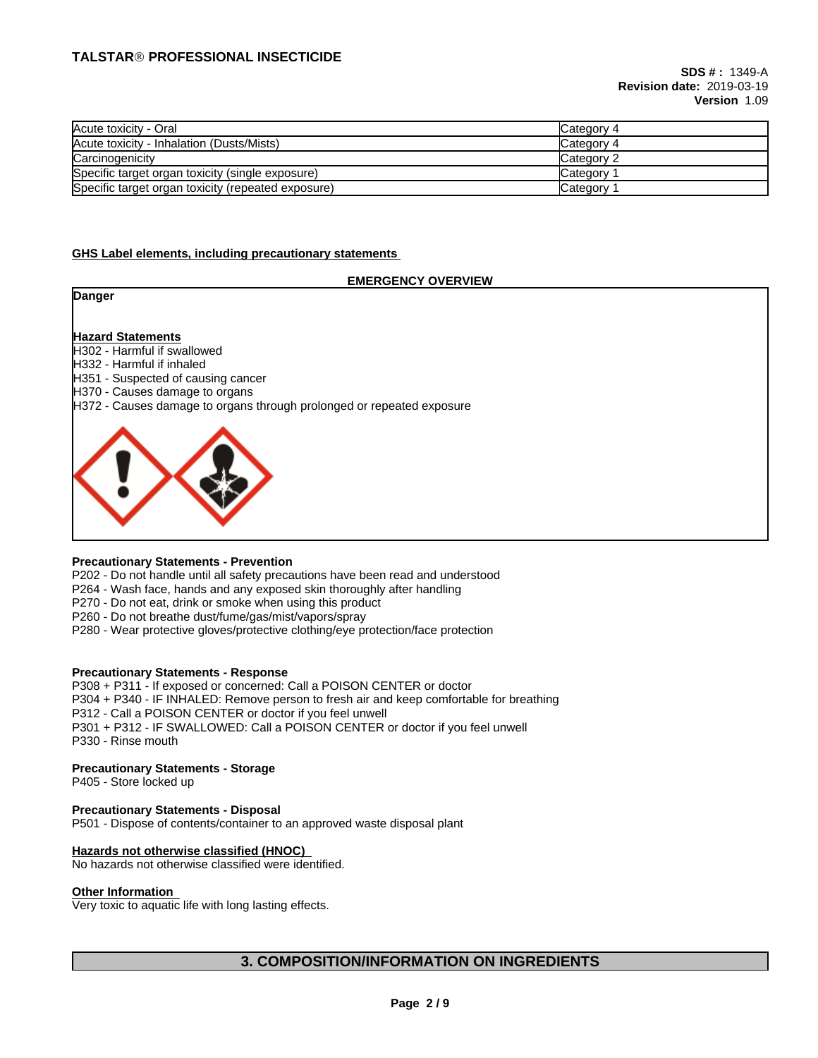| Acute toxicity - Oral                              | Category 4 |
|----------------------------------------------------|------------|
| Acute toxicity - Inhalation (Dusts/Mists)          | Category 4 |
| Carcinogenicity                                    | Category 2 |
| Specific target organ toxicity (single exposure)   | Category   |
| Specific target organ toxicity (repeated exposure) | Category   |

#### **GHS Label elements, including precautionary statements**

#### **EMERGENCY OVERVIEW**

**Danger**

#### **Hazard Statements**

- H302 Harmful if swallowed
- H332 Harmful if inhaled
- H351 Suspected of causing cancer
- H370 Causes damage to organs
- H372 Causes damage to organs through prolonged or repeated exposure



#### **Precautionary Statements - Prevention**

P202 - Do not handle until all safety precautions have been read and understood

P264 - Wash face, hands and any exposed skin thoroughly after handling

P270 - Do not eat, drink or smoke when using this product

P260 - Do not breathe dust/fume/gas/mist/vapors/spray

P280 - Wear protective gloves/protective clothing/eye protection/face protection

#### **Precautionary Statements - Response**

P308 + P311 - If exposed or concerned: Call a POISON CENTER or doctor P304 + P340 - IF INHALED: Remove person to fresh air and keep comfortable for breathing P312 - Call a POISON CENTER or doctor if you feel unwell P301 + P312 - IF SWALLOWED: Call a POISON CENTER or doctor if you feel unwell P330 - Rinse mouth

#### **Precautionary Statements - Storage**

P405 - Store locked up

#### **Precautionary Statements - Disposal**

P501 - Dispose of contents/container to an approved waste disposal plant

#### **Hazards not otherwise classified (HNOC)**

No hazards not otherwise classified were identified.

#### **Other Information**

Very toxic to aquatic life with long lasting effects.

# **3. COMPOSITION/INFORMATION ON INGREDIENTS**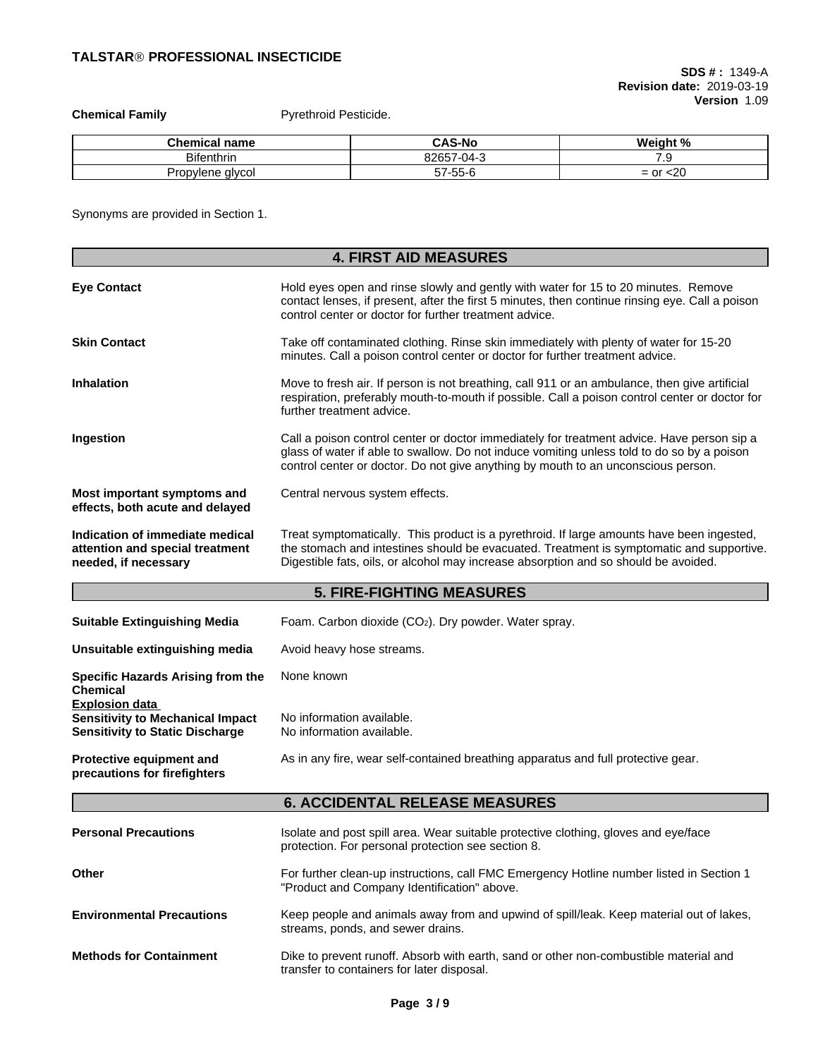**Chemical Family Pyrethroid Pesticide.** 

| --<br>name<br>nical    | - -<br>i-N(<br>ىدىر             | ۰O.<br>.<br>and and the contract of |
|------------------------|---------------------------------|-------------------------------------|
| <b>Bifenthrin</b>      | $\cdots$<br>.<br>14<br>- سى<br> | . .                                 |
| alvcol<br>bviene<br>uu | $- -$<br>ヘノ-ヘヘ-1<br>,,<br>ື     | ንቦ<br>$ \cap$ r<br>— I<br>∽∠៶<br>ັ  |

Synonyms are provided in Section 1.

|                                                                                                                                                                                                                                                                                                                                                                            | <b>4. FIRST AID MEASURES</b>                                                                                                                                                                                                                                                  |  |  |
|----------------------------------------------------------------------------------------------------------------------------------------------------------------------------------------------------------------------------------------------------------------------------------------------------------------------------------------------------------------------------|-------------------------------------------------------------------------------------------------------------------------------------------------------------------------------------------------------------------------------------------------------------------------------|--|--|
| <b>Eye Contact</b>                                                                                                                                                                                                                                                                                                                                                         | Hold eyes open and rinse slowly and gently with water for 15 to 20 minutes. Remove<br>contact lenses, if present, after the first 5 minutes, then continue rinsing eye. Call a poison<br>control center or doctor for further treatment advice.                               |  |  |
| <b>Skin Contact</b>                                                                                                                                                                                                                                                                                                                                                        | Take off contaminated clothing. Rinse skin immediately with plenty of water for 15-20<br>minutes. Call a poison control center or doctor for further treatment advice.                                                                                                        |  |  |
| <b>Inhalation</b>                                                                                                                                                                                                                                                                                                                                                          | Move to fresh air. If person is not breathing, call 911 or an ambulance, then give artificial<br>respiration, preferably mouth-to-mouth if possible. Call a poison control center or doctor for<br>further treatment advice.                                                  |  |  |
| Ingestion                                                                                                                                                                                                                                                                                                                                                                  | Call a poison control center or doctor immediately for treatment advice. Have person sip a<br>glass of water if able to swallow. Do not induce vomiting unless told to do so by a poison<br>control center or doctor. Do not give anything by mouth to an unconscious person. |  |  |
| Most important symptoms and<br>effects, both acute and delayed                                                                                                                                                                                                                                                                                                             | Central nervous system effects.                                                                                                                                                                                                                                               |  |  |
| Indication of immediate medical<br>Treat symptomatically. This product is a pyrethroid. If large amounts have been ingested,<br>the stomach and intestines should be evacuated. Treatment is symptomatic and supportive.<br>attention and special treatment<br>Digestible fats, oils, or alcohol may increase absorption and so should be avoided.<br>needed, if necessary |                                                                                                                                                                                                                                                                               |  |  |
|                                                                                                                                                                                                                                                                                                                                                                            | <b>5. FIRE-FIGHTING MEASURES</b>                                                                                                                                                                                                                                              |  |  |
| <b>Suitable Extinguishing Media</b>                                                                                                                                                                                                                                                                                                                                        | Foam. Carbon dioxide (CO2). Dry powder. Water spray.                                                                                                                                                                                                                          |  |  |
| Unsuitable extinguishing media                                                                                                                                                                                                                                                                                                                                             | Avoid heavy hose streams.                                                                                                                                                                                                                                                     |  |  |
| <b>Specific Hazards Arising from the</b><br>Chemical                                                                                                                                                                                                                                                                                                                       | None known                                                                                                                                                                                                                                                                    |  |  |
| <b>Explosion data</b><br><b>Sensitivity to Mechanical Impact</b><br><b>Sensitivity to Static Discharge</b>                                                                                                                                                                                                                                                                 | No information available.<br>No information available.                                                                                                                                                                                                                        |  |  |
| Protective equipment and<br>precautions for firefighters                                                                                                                                                                                                                                                                                                                   | As in any fire, wear self-contained breathing apparatus and full protective gear.                                                                                                                                                                                             |  |  |
|                                                                                                                                                                                                                                                                                                                                                                            | <b>6. ACCIDENTAL RELEASE MEASURES</b>                                                                                                                                                                                                                                         |  |  |
| <b>Personal Precautions</b>                                                                                                                                                                                                                                                                                                                                                | Isolate and post spill area. Wear suitable protective clothing, gloves and eye/face<br>protection. For personal protection see section 8.                                                                                                                                     |  |  |
| Other                                                                                                                                                                                                                                                                                                                                                                      | For further clean-up instructions, call FMC Emergency Hotline number listed in Section 1<br>"Product and Company Identification" above.                                                                                                                                       |  |  |
| <b>Environmental Precautions</b>                                                                                                                                                                                                                                                                                                                                           | Keep people and animals away from and upwind of spill/leak. Keep material out of lakes,<br>streams, ponds, and sewer drains.                                                                                                                                                  |  |  |
| <b>Methods for Containment</b>                                                                                                                                                                                                                                                                                                                                             | Dike to prevent runoff. Absorb with earth, sand or other non-combustible material and<br>transfer to containers for later disposal.                                                                                                                                           |  |  |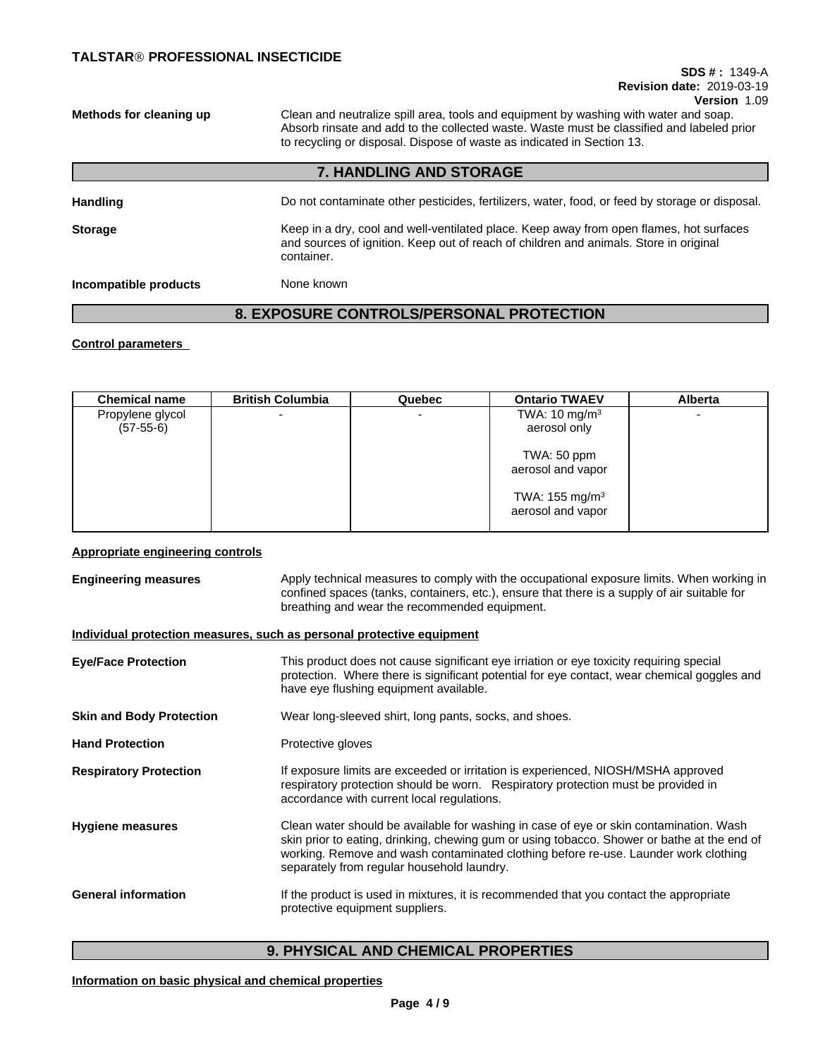# **SDS # :** 1349-A **Revision date:** 2019-03-19

**Version** 1.09

**Methods for cleaning up** Clean and neutralize spill area, tools and equipment by washing with water and soap. Absorb rinsate and add to the collected waste. Waste must be classified and labeled prior to recycling or disposal. Dispose of waste as indicated in Section 13.

## **7. HANDLING AND STORAGE**

| <b>Handling</b>       | Do not contaminate other pesticides, fertilizers, water, food, or feed by storage or disposal.                                                                                                 |
|-----------------------|------------------------------------------------------------------------------------------------------------------------------------------------------------------------------------------------|
| <b>Storage</b>        | Keep in a dry, cool and well-ventilated place. Keep away from open flames, hot surfaces<br>and sources of ignition. Keep out of reach of children and animals. Store in original<br>container. |
| Incompatible products | None known                                                                                                                                                                                     |

# **8. EXPOSURE CONTROLS/PERSONAL PROTECTION**

#### **Control parameters**

| <b>Chemical name</b> | <b>British Columbia</b>  | Quebec | <b>Ontario TWAEV</b>       | <b>Alberta</b> |
|----------------------|--------------------------|--------|----------------------------|----------------|
| Propylene glycol     | $\overline{\phantom{0}}$ |        | TWA: $10 \text{ mg/m}^3$   |                |
| $(57-55-6)$          |                          |        | aerosol only               |                |
|                      |                          |        | TWA: 50 ppm                |                |
|                      |                          |        | aerosol and vapor          |                |
|                      |                          |        | TWA: 155 mg/m <sup>3</sup> |                |
|                      |                          |        | aerosol and vapor          |                |
|                      |                          |        |                            |                |

### **Appropriate engineering controls**

| <b>Engineering measures</b>     | Apply technical measures to comply with the occupational exposure limits. When working in<br>confined spaces (tanks, containers, etc.), ensure that there is a supply of air suitable for<br>breathing and wear the recommended equipment.                                                                                 |  |  |
|---------------------------------|----------------------------------------------------------------------------------------------------------------------------------------------------------------------------------------------------------------------------------------------------------------------------------------------------------------------------|--|--|
|                                 | Individual protection measures, such as personal protective equipment                                                                                                                                                                                                                                                      |  |  |
| <b>Eye/Face Protection</b>      | This product does not cause significant eye irriation or eye toxicity requiring special<br>protection. Where there is significant potential for eye contact, wear chemical goggles and<br>have eye flushing equipment available.                                                                                           |  |  |
| <b>Skin and Body Protection</b> | Wear long-sleeved shirt, long pants, socks, and shoes.                                                                                                                                                                                                                                                                     |  |  |
| <b>Hand Protection</b>          | Protective gloves                                                                                                                                                                                                                                                                                                          |  |  |
| <b>Respiratory Protection</b>   | If exposure limits are exceeded or irritation is experienced, NIOSH/MSHA approved<br>respiratory protection should be worn. Respiratory protection must be provided in<br>accordance with current local regulations.                                                                                                       |  |  |
| <b>Hygiene measures</b>         | Clean water should be available for washing in case of eye or skin contamination. Wash<br>skin prior to eating, drinking, chewing gum or using tobacco. Shower or bathe at the end of<br>working. Remove and wash contaminated clothing before re-use. Launder work clothing<br>separately from regular household laundry. |  |  |
| <b>General information</b>      | If the product is used in mixtures, it is recommended that you contact the appropriate<br>protective equipment suppliers.                                                                                                                                                                                                  |  |  |

# **9. PHYSICAL AND CHEMICAL PROPERTIES**

## **Information on basic physical and chemical properties**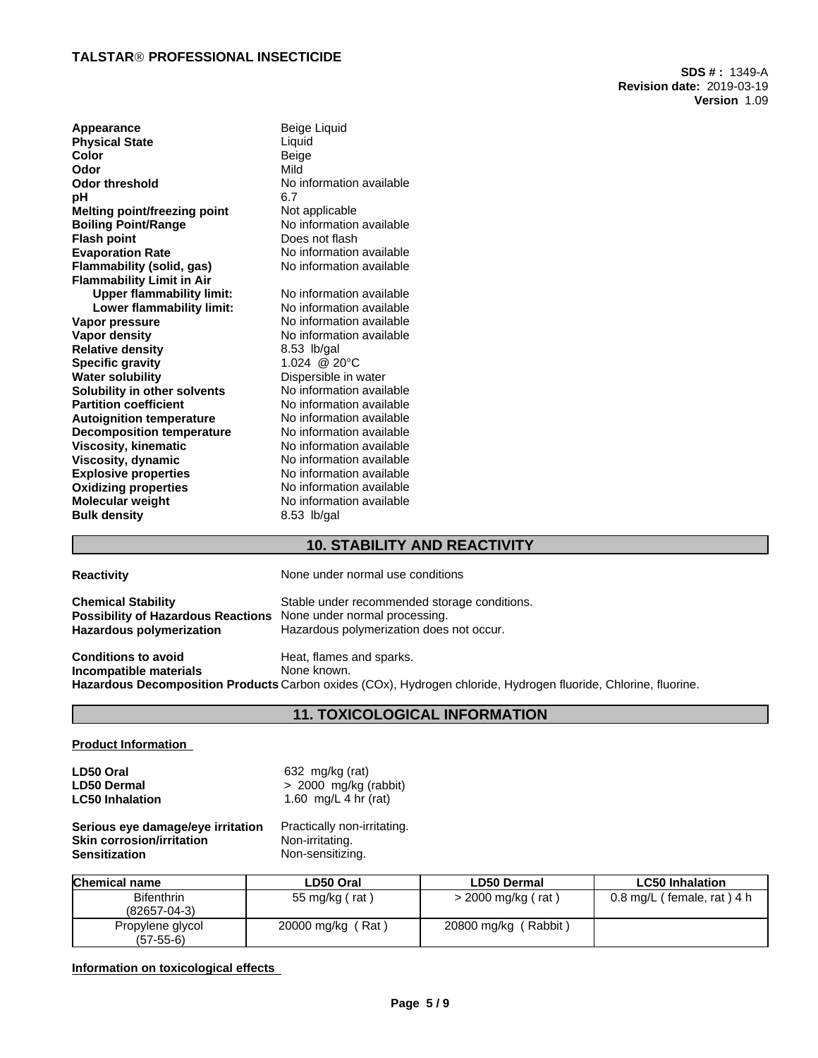**SDS # :** 1349-A **Revision date:** 2019-03-19 **Version** 1.09

| Appearance                       | Beige Liquid             |
|----------------------------------|--------------------------|
| <b>Physical State</b>            | Liquid                   |
| Color                            | Beige                    |
| Odor                             | Mild                     |
| <b>Odor threshold</b>            | No information available |
| рH                               | 6.7                      |
| Melting point/freezing point     | Not applicable           |
| <b>Boiling Point/Range</b>       | No information available |
| <b>Flash point</b>               | Does not flash           |
| <b>Evaporation Rate</b>          | No information available |
| Flammability (solid, gas)        | No information available |
| <b>Flammability Limit in Air</b> |                          |
| <b>Upper flammability limit:</b> | No information available |
| Lower flammability limit:        | No information available |
| Vapor pressure                   | No information available |
| <b>Vapor density</b>             | No information available |
| <b>Relative density</b>          | 8.53 lb/gal              |
| <b>Specific gravity</b>          | 1.024 @ 20°C             |
| <b>Water solubility</b>          | Dispersible in water     |
| Solubility in other solvents     | No information available |
| <b>Partition coefficient</b>     | No information available |
| <b>Autoignition temperature</b>  | No information available |
| <b>Decomposition temperature</b> | No information available |
| <b>Viscosity, kinematic</b>      | No information available |
| Viscosity, dynamic               | No information available |
| <b>Explosive properties</b>      | No information available |
| <b>Oxidizing properties</b>      | No information available |
| <b>Molecular weight</b>          | No information available |
| <b>Bulk density</b>              | 8.53 lb/gal              |

# **10. STABILITY AND REACTIVITY**

| <b>Reactivity</b>                                                                                                                       | None under normal use conditions                                                                                                                           |
|-----------------------------------------------------------------------------------------------------------------------------------------|------------------------------------------------------------------------------------------------------------------------------------------------------------|
| <b>Chemical Stability</b><br><b>Possibility of Hazardous Reactions</b> None under normal processing.<br><b>Hazardous polymerization</b> | Stable under recommended storage conditions.<br>Hazardous polymerization does not occur.                                                                   |
| <b>Conditions to avoid</b><br>Incompatible materials                                                                                    | Heat, flames and sparks.<br>None known.<br>Hazardous Decomposition Products Carbon oxides (COx), Hydrogen chloride, Hydrogen fluoride, Chlorine, fluorine. |

# **11. TOXICOLOGICAL INFORMATION**

#### **Product Information**

| LD50 Oral              | 632 mg/kg (rat)         |
|------------------------|-------------------------|
| <b>LD50 Dermal</b>     | $> 2000$ mg/kg (rabbit) |
| <b>LC50 Inhalation</b> | 1.60 mg/L 4 hr (rat)    |

**Serious eye damage/eye irritation** Practically non-irritating.<br>**Skin corrosion/irritation** Non-irritating. **Skin corrosion/irritation**<br>Sensitization **Non-sensitizing.** 

## **Information on toxicological effects**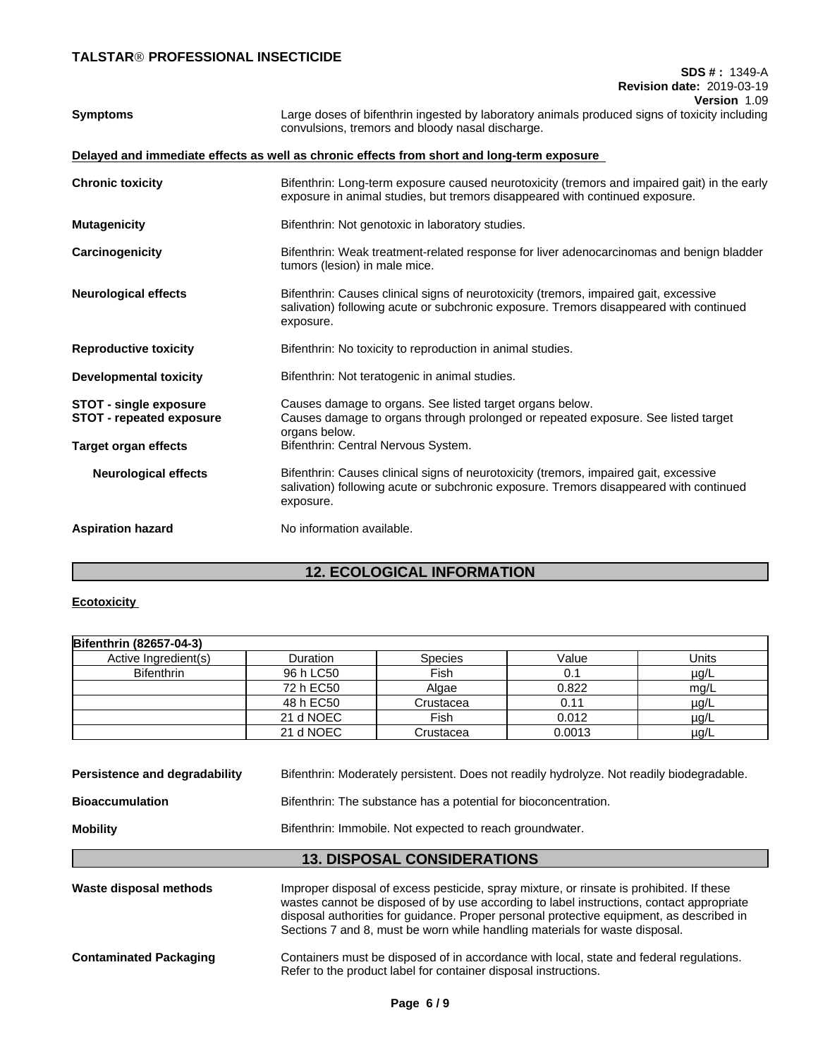### **SDS # :** 1349-A **Revision date:** 2019-03-19 **Version** 1.09

| <b>Symptoms</b>                                                  | Large doses of bifenthrin ingested by laboratory animals produced signs of toxicity including<br>convulsions, tremors and bloody nasal discharge.                                            |
|------------------------------------------------------------------|----------------------------------------------------------------------------------------------------------------------------------------------------------------------------------------------|
|                                                                  | Delayed and immediate effects as well as chronic effects from short and long-term exposure                                                                                                   |
| <b>Chronic toxicity</b>                                          | Bifenthrin: Long-term exposure caused neurotoxicity (tremors and impaired gait) in the early<br>exposure in animal studies, but tremors disappeared with continued exposure.                 |
| <b>Mutagenicity</b>                                              | Bifenthrin: Not genotoxic in laboratory studies.                                                                                                                                             |
| Carcinogenicity                                                  | Bifenthrin: Weak treatment-related response for liver adenocarcinomas and benign bladder<br>tumors (lesion) in male mice.                                                                    |
| <b>Neurological effects</b>                                      | Bifenthrin: Causes clinical signs of neurotoxicity (tremors, impaired gait, excessive<br>salivation) following acute or subchronic exposure. Tremors disappeared with continued<br>exposure. |
| <b>Reproductive toxicity</b>                                     | Bifenthrin: No toxicity to reproduction in animal studies.                                                                                                                                   |
| <b>Developmental toxicity</b>                                    | Bifenthrin: Not teratogenic in animal studies.                                                                                                                                               |
| <b>STOT - single exposure</b><br><b>STOT - repeated exposure</b> | Causes damage to organs. See listed target organs below.<br>Causes damage to organs through prolonged or repeated exposure. See listed target<br>organs below.                               |
| <b>Target organ effects</b>                                      | Bifenthrin: Central Nervous System.                                                                                                                                                          |
| <b>Neurological effects</b>                                      | Bifenthrin: Causes clinical signs of neurotoxicity (tremors, impaired gait, excessive<br>salivation) following acute or subchronic exposure. Tremors disappeared with continued<br>exposure. |
| <b>Aspiration hazard</b>                                         | No information available.                                                                                                                                                                    |
|                                                                  |                                                                                                                                                                                              |

# **12. ECOLOGICAL INFORMATION**

### **Ecotoxicity**

| Bifenthrin (82657-04-3) |                 |                |        |           |
|-------------------------|-----------------|----------------|--------|-----------|
| Active Ingredient(s)    | <b>Duration</b> | <b>Species</b> | Value  | Units     |
| <b>Bifenthrin</b>       | 96 h LC50       | Fish           | 0.1    | $\mu$ g/L |
|                         | 72 h EC50       | Algae          | 0.822  | mg/L      |
|                         | 48 h EC50       | Crustacea      | 0.11   | µg/L      |
|                         | 21 d NOEC       | Fish           | 0.012  | $\mu$ g/L |
|                         | 21 d NOEC       | Crustacea      | 0.0013 | $\mu$ g/L |

| Persistence and degradability | Bifenthrin: Moderately persistent. Does not readily hydrolyze. Not readily biodegradable.                                                                                                                                                                                        |
|-------------------------------|----------------------------------------------------------------------------------------------------------------------------------------------------------------------------------------------------------------------------------------------------------------------------------|
| <b>Bioaccumulation</b>        | Bifenthrin: The substance has a potential for bioconcentration.                                                                                                                                                                                                                  |
| <b>Mobility</b>               | Bifenthrin: Immobile. Not expected to reach groundwater.                                                                                                                                                                                                                         |
|                               | <b>13. DISPOSAL CONSIDERATIONS</b>                                                                                                                                                                                                                                               |
| Waste disposal methods        | Improper disposal of excess pesticide, spray mixture, or rinsate is prohibited. If these<br>wastes cannot be disposed of by use according to label instructions, contact appropriate<br>disposal authorities for guidance. Proper personal protective equipment, as described in |

**Contaminated Packaging** Containers must be disposed of in accordance with local, state and federal regulations. Refer to the product label for container disposal instructions.

Sections 7 and 8, must be worn while handling materials for waste disposal.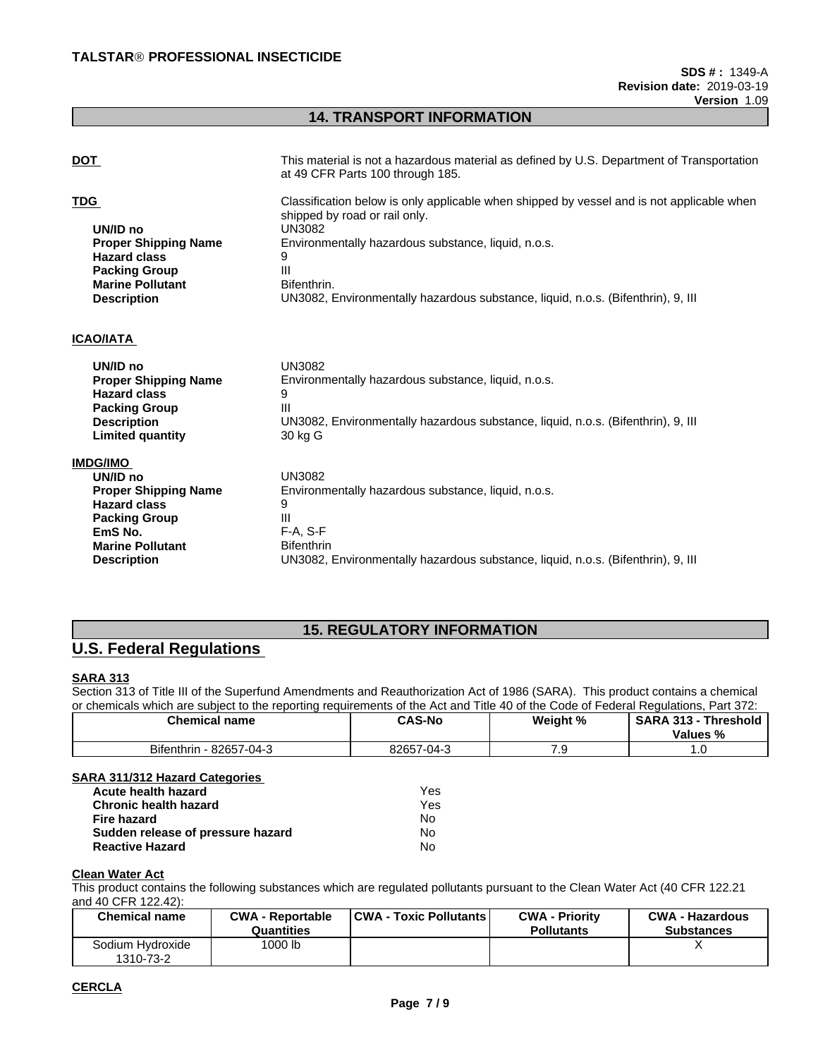# **14. TRANSPORT INFORMATION**

| <b>DOT</b>                                                                                                                                            | This material is not a hazardous material as defined by U.S. Department of Transportation<br>at 49 CFR Parts 100 through 185.                                                                                                                                                                                   |
|-------------------------------------------------------------------------------------------------------------------------------------------------------|-----------------------------------------------------------------------------------------------------------------------------------------------------------------------------------------------------------------------------------------------------------------------------------------------------------------|
| <b>TDG</b><br>UN/ID no<br><b>Proper Shipping Name</b><br><b>Hazard class</b><br><b>Packing Group</b><br><b>Marine Pollutant</b><br><b>Description</b> | Classification below is only applicable when shipped by vessel and is not applicable when<br>shipped by road or rail only.<br><b>UN3082</b><br>Environmentally hazardous substance, liquid, n.o.s.<br>9<br>Ш<br>Bifenthrin.<br>UN3082, Environmentally hazardous substance, liquid, n.o.s. (Bifenthrin), 9, III |
| <b>ICAO/IATA</b>                                                                                                                                      |                                                                                                                                                                                                                                                                                                                 |
| UN/ID no<br><b>Proper Shipping Name</b><br><b>Hazard class</b><br><b>Packing Group</b><br><b>Description</b><br><b>Limited quantity</b>               | <b>UN3082</b><br>Environmentally hazardous substance, liquid, n.o.s.<br>9<br>Ш<br>UN3082, Environmentally hazardous substance, liquid, n.o.s. (Bifenthrin), 9, III<br>30 kg G                                                                                                                                   |
| <b>IMDG/IMO</b>                                                                                                                                       |                                                                                                                                                                                                                                                                                                                 |
| UN/ID no                                                                                                                                              | <b>UN3082</b>                                                                                                                                                                                                                                                                                                   |
| <b>Proper Shipping Name</b><br><b>Hazard class</b>                                                                                                    | Environmentally hazardous substance, liquid, n.o.s.<br>9                                                                                                                                                                                                                                                        |
| <b>Packing Group</b>                                                                                                                                  | Ш                                                                                                                                                                                                                                                                                                               |
| EmS No.                                                                                                                                               | $F-A, S-F$                                                                                                                                                                                                                                                                                                      |
| <b>Marine Pollutant</b>                                                                                                                               | <b>Bifenthrin</b>                                                                                                                                                                                                                                                                                               |

**Description** UN3082, Environmentally hazardous substance, liquid, n.o.s. (Bifenthrin), 9, III

## **15. REGULATORY INFORMATION**

# **U.S. Federal Regulations**

### **SARA 313**

Section 313 of Title III of the Superfund Amendments and Reauthorization Act of 1986 (SARA). This product contains a chemical or chemicals which are subject to the reporting requirements of the Act and Title 40 of the Code of Federal Regulations, Part 372:

| Chemical name                                             | <b>CAS-No</b>   | Weight %                     | <b>SARA 313</b><br>Threshold<br>Values<br>"∕∘ |
|-----------------------------------------------------------|-----------------|------------------------------|-----------------------------------------------|
| <b>Bifenthrin</b><br>00057<br>$\sim$ $\sim$<br>82657-04-3 | 82657<br>7-04-3 | $\cdot\cdot$ $\cdot$ $\cdot$ | .                                             |

#### **SARA 311/312 Hazard Categories**

| Yes  |  |
|------|--|
| Yes. |  |
| N٥   |  |
| No   |  |
| No   |  |
|      |  |

# **Clean Water Act**

This product contains the following substances which are regulated pollutants pursuant to the Clean Water Act (40 CFR 122.21 and 40 CFR 122.42):

| <b>Chemical name</b>          | <b>CWA - Reportable</b><br>Quantities | <b>CWA - Toxic Pollutants  </b> | <b>CWA - Priority</b><br><b>Pollutants</b> | <b>CWA - Hazardous</b><br><b>Substances</b> |
|-------------------------------|---------------------------------------|---------------------------------|--------------------------------------------|---------------------------------------------|
| Sodium Hydroxide<br>1310-73-2 | 1000 lb                               |                                 |                                            |                                             |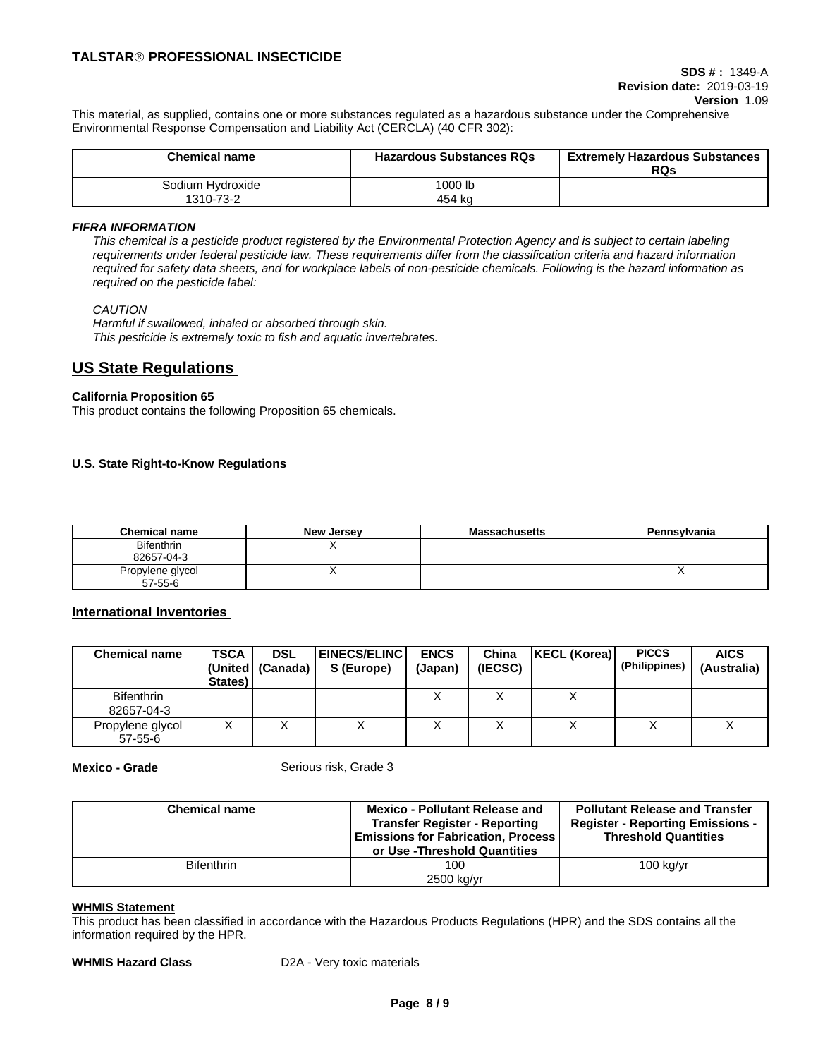# **SDS # :** 1349-A **Revision date:** 2019-03-19

**Version** 1.09

This material, as supplied, contains one or more substances regulated as a hazardous substance under the Comprehensive Environmental Response Compensation and Liability Act (CERCLA) (40 CFR 302):

| <b>Chemical name</b> | <b>Hazardous Substances RQs</b> | <b>Extremely Hazardous Substances</b><br><b>RQs</b> |
|----------------------|---------------------------------|-----------------------------------------------------|
| Sodium Hydroxide     | 1000 lb                         |                                                     |
| 1310-73-2            | 454 ka                          |                                                     |

#### *FIFRA INFORMATION*

This chemical is a pesticide product registered by the Environmental Protection Agency and is subject to certain labeling requirements under federal pesticide law. These requirements differ from the classification criteria and hazard information required for safety data sheets, and for workplace labels of non-pesticide chemicals. Following is the hazard information as *required on the pesticide label:*

#### *CAUTION*

*Harmful if swallowed, inhaled or absorbed through skin. This pesticide is extremely toxic to fish and aquatic invertebrates.*

# **US State Regulations**

#### **California Proposition 65**

This product contains the following Proposition 65 chemicals.

### **U.S. State Right-to-Know Regulations**

| <b>Chemical name</b> | <b>New Jersey</b> | <b>Massachusetts</b> | Pennsylvania |
|----------------------|-------------------|----------------------|--------------|
| <b>Bifenthrin</b>    |                   |                      |              |
| 82657-04-3           |                   |                      |              |
| Propylene glycol     |                   |                      | . .          |
| $57 - 55 - 6$        |                   |                      |              |

#### **International Inventories**

| <b>Chemical name</b>              | <b>TSCA</b><br>States) | <b>DSL</b><br>(United   (Canada) | <b> EINECS/ELINC </b><br>S (Europe) | <b>ENCS</b><br>(Japan) | China<br>(IECSC) | KECL (Korea) | <b>PICCS</b><br>(Philippines) | <b>AICS</b><br>(Australia) |
|-----------------------------------|------------------------|----------------------------------|-------------------------------------|------------------------|------------------|--------------|-------------------------------|----------------------------|
| <b>Bifenthrin</b><br>82657-04-3   |                        |                                  |                                     |                        |                  |              |                               |                            |
| Propylene glycol<br>$57 - 55 - 6$ |                        | $\lambda$                        | ∧                                   |                        |                  |              |                               | ↗                          |

**Mexico - Grade** Serious risk, Grade 3

| <b>Chemical name</b> | <b>Mexico - Pollutant Release and</b><br><b>Transfer Register - Reporting</b><br><b>Emissions for Fabrication. Process  </b><br>or Use -Threshold Quantities | <b>Pollutant Release and Transfer</b><br><b>Register - Reporting Emissions -</b><br><b>Threshold Quantities</b> |
|----------------------|--------------------------------------------------------------------------------------------------------------------------------------------------------------|-----------------------------------------------------------------------------------------------------------------|
| <b>Bifenthrin</b>    | 100                                                                                                                                                          | $100$ kg/yr                                                                                                     |
|                      | 2500 kg/yr                                                                                                                                                   |                                                                                                                 |

#### **WHMIS Statement**

This product has been classified in accordance with the Hazardous Products Regulations (HPR) and the SDS contains all the information required by the HPR.

**WHMIS Hazard Class** D2A - Very toxic materials